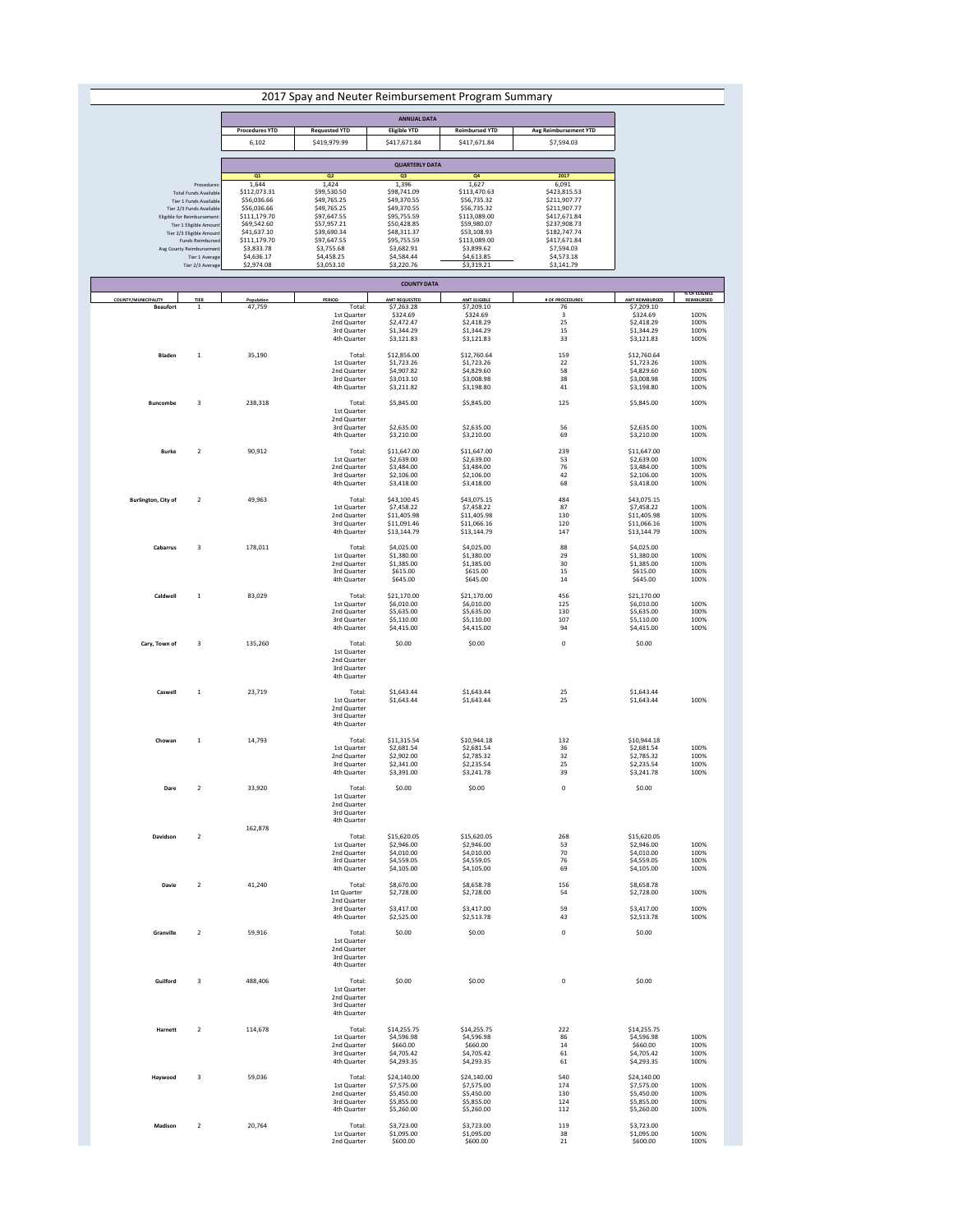| 2017 Spay and Neuter Reimbursement Program Summary |                                                                                                                               |              |              |              |              |  |  |  |
|----------------------------------------------------|-------------------------------------------------------------------------------------------------------------------------------|--------------|--------------|--------------|--------------|--|--|--|
|                                                    |                                                                                                                               |              |              |              |              |  |  |  |
|                                                    | <b>ANNUAL DATA</b>                                                                                                            |              |              |              |              |  |  |  |
|                                                    | <b>Procedures YTD</b><br><b>Requested YTD</b><br><b>Reimbursed YTD</b><br><b>Avg Reimbursement YTD</b><br><b>Eligible YTD</b> |              |              |              |              |  |  |  |
|                                                    | 6,102                                                                                                                         | \$419,979.99 | \$417,671.84 | \$417,671.84 | \$7,594.03   |  |  |  |
|                                                    |                                                                                                                               |              |              |              |              |  |  |  |
|                                                    | <b>QUARTERLY DATA</b>                                                                                                         |              |              |              |              |  |  |  |
|                                                    | Q1<br>Q <sub>2</sub><br>Q <sub>4</sub><br>2017<br>Q <sub>3</sub>                                                              |              |              |              |              |  |  |  |
| Procedures:                                        | 1,644                                                                                                                         | 1,424        | 1,396        | 1,627        | 6,091        |  |  |  |
| <b>Total Funds Available</b>                       | \$112,073.31                                                                                                                  | \$99,530.50  | \$98,741.09  | \$113,470.63 | \$423,815.53 |  |  |  |
| Tier 1 Funds Available                             | \$56,036.66                                                                                                                   | \$49,765.25  | \$49,370.55  | \$56,735.32  | \$211,907.77 |  |  |  |
| Tier 2/3 Funds Available                           | \$56,036.66                                                                                                                   | \$49,765.25  | \$49,370.55  | \$56,735.32  | \$211,907.77 |  |  |  |
| Eligible for Reimbursement:                        | \$111,179.70                                                                                                                  | \$97,647.55  | \$95,755.59  | \$113,089.00 | \$417,671.84 |  |  |  |
| Tier 1 Eligible Amount                             | \$69,542.60                                                                                                                   | \$57,957.21  | \$50,428.85  | \$59,980.07  | \$237,908.73 |  |  |  |
| Tier 2/3 Eligible Amount                           | \$41,637.10                                                                                                                   | \$39,690.34  | \$48,311.37  | \$53,108.93  | \$182,747.74 |  |  |  |
| Funds Reimbursed                                   | \$111,179.70                                                                                                                  | \$97,647.55  | \$95,755.59  | \$113,089.00 | \$417,671.84 |  |  |  |
| Avg County Reimbursement                           | \$3,833.78                                                                                                                    | \$3,755.68   | \$3,682.91   | \$3,899.62   | \$7,594.03   |  |  |  |
| Tier 1 Average                                     | \$4,636.17                                                                                                                    | \$4,458.25   | \$4,584.44   | \$4,613.85   | \$4,573.18   |  |  |  |
| Tier 2/3 Average                                   | \$2,974.08                                                                                                                    | \$3,053.10   | \$3,220.76   | \$3,319.21   | \$3,141.79   |  |  |  |

|                                               |                 |                      |                                                                                            | <b>COUNTY DATA</b>                                                                       |                                                                                         |                                                     |                                                                                           |                                                                           |
|-----------------------------------------------|-----------------|----------------------|--------------------------------------------------------------------------------------------|------------------------------------------------------------------------------------------|-----------------------------------------------------------------------------------------|-----------------------------------------------------|-------------------------------------------------------------------------------------------|---------------------------------------------------------------------------|
| <b>COUNTY/MUNICIPALITY</b><br><b>Beaufort</b> | <b>TIER</b>     | Population<br>47,759 | <b>PERIOD</b><br>Total:<br><b>1st Quarter</b><br>2nd Quarter<br>3rd Quarter<br>4th Quarter | <b>AMT REQUESTED</b><br>\$7,263.28<br>\$324.69<br>\$2,472.47<br>\$1,344.29<br>\$3,121.83 | <b>AMT ELIGIBLE</b><br>\$7,209.10<br>\$324.69<br>\$2,418.29<br>\$1,344.29<br>\$3,121.83 | <b># OF PROCEDURES</b><br>76<br>3<br>25<br>15<br>33 | <b>AMT REIMBURSED</b><br>\$7,209.10<br>\$324.69<br>\$2,418.29<br>\$1,344.29<br>\$3,121.83 | <b>% OF ELIGIBLE</b><br><b>REIMBURSED</b><br>100%<br>100%<br>100%<br>100% |
| <b>Bladen</b>                                 |                 | 35,190               | Total:<br><b>1st Quarter</b><br>2nd Quarter<br>3rd Quarter<br>4th Quarter                  | \$12,856.00<br>\$1,723.26<br>\$4,907.82<br>\$3,013.10<br>\$3,211.82                      | \$12,760.64<br>\$1,723.26<br>\$4,829.60<br>\$3,008.98<br>\$3,198.80                     | 159<br>22<br>58<br>38<br>41                         | \$12,760.64<br>\$1,723.26<br>\$4,829.60<br>\$3,008.98<br>\$3,198.80                       | 100%<br>100%<br>100%<br>100%                                              |
| <b>Buncombe</b>                               | $\overline{3}$  | 238,318              | Total:<br><b>1st Quarter</b><br>2nd Quarter<br>3rd Quarter<br>4th Quarter                  | \$5,845.00<br>\$2,635.00<br>\$3,210.00                                                   | \$5,845.00<br>\$2,635.00<br>\$3,210.00                                                  | 125<br>56<br>69                                     | \$5,845.00<br>\$2,635.00<br>\$3,210.00                                                    | 100%<br>100%<br>100%                                                      |
| <b>Burke</b>                                  | ി               | 90,912               | Total:<br><b>1st Quarter</b><br>2nd Quarter<br>3rd Quarter<br>4th Quarter                  | \$11,647.00<br>\$2,639.00<br>\$3,484.00<br>\$2,106.00<br>\$3,418.00                      | \$11,647.00<br>\$2,639.00<br>\$3,484.00<br>\$2,106.00<br>\$3,418.00                     | 239<br>53<br>76<br>42<br>68                         | \$11,647.00<br>\$2,639.00<br>\$3,484.00<br>\$2,106.00<br>\$3,418.00                       | 100%<br>100%<br>100%<br>100%                                              |
| <b>Burlington, City of</b>                    | $2\overline{ }$ | 49,963               | Total:<br>1st Quarter<br>2nd Quarter<br>3rd Quarter<br>4th Quarter                         | \$43,100.45<br>\$7,458.22<br>\$11,405.98<br>\$11,091.46<br>\$13,144.79                   | \$43,075.15<br>\$7,458.22<br>\$11,405.98<br>\$11,066.16<br>\$13,144.79                  | 484<br>87<br>130<br>120<br>147                      | \$43,075.15<br>\$7,458.22<br>\$11,405.98<br>\$11,066.16<br>\$13,144.79                    | 100%<br>100%<br>100%<br>100%                                              |
| <b>Cabarrus</b>                               | $\overline{3}$  | 178,011              | Total:<br>1st Quarter<br>2nd Quarter<br>3rd Quarter<br>4th Quarter                         | \$4,025.00<br>\$1,380.00<br>\$1,385.00<br>\$615.00<br>\$645.00                           | \$4,025.00<br>\$1,380.00<br>\$1,385.00<br>\$615.00<br>\$645.00                          | 88<br>29<br>30<br>15<br>14                          | \$4,025.00<br>\$1,380.00<br>\$1,385.00<br>\$615.00<br>\$645.00                            | 100%<br>100%<br>100%<br>100%                                              |
| <b>Caldwell</b>                               |                 | 83,029               | Total:<br>1st Quarter<br>2nd Quarter<br>3rd Quarter<br>4th Quarter                         | \$21,170.00<br>\$6,010.00<br>\$5,635.00<br>\$5,110.00<br>\$4,415.00                      | \$21,170.00<br>\$6,010.00<br>\$5,635.00<br>\$5,110.00<br>\$4,415.00                     | 456<br>125<br>130<br>107<br>94                      | \$21,170.00<br>\$6,010.00<br>\$5,635.00<br>\$5,110.00<br>\$4,415.00                       | 100%<br>100%<br>100%<br>100%                                              |
| Cary, Town of                                 | $\overline{3}$  | 135,260              | Total:<br>1st Quarter<br>2nd Quarter<br>3rd Quarter<br>4th Quarter                         | \$0.00                                                                                   | \$0.00                                                                                  | $\mathbf 0$                                         | \$0.00                                                                                    |                                                                           |
| <b>Caswell</b>                                |                 | 23,719               | Total:<br>1st Quarter<br>2nd Quarter<br>3rd Quarter<br>4th Quarter                         | \$1,643.44<br>\$1,643.44                                                                 | \$1,643.44<br>\$1,643.44                                                                | 25<br>25                                            | \$1,643.44<br>\$1,643.44                                                                  | 100%                                                                      |
| Chowan                                        | $\mathbf{1}$    | 14,793               | Total:<br>1st Quarter<br>2nd Quarter<br>3rd Quarter<br>4th Quarter                         | \$11,315.54<br>\$2,681.54<br>\$2,902.00<br>\$2,341.00<br>\$3,391.00                      | \$10,944.18<br>\$2,681.54<br>\$2,785.32<br>\$2,235.54<br>\$3,241.78                     | 132<br>36<br>32<br>25<br>39                         | \$10,944.18<br>\$2,681.54<br>\$2,785.32<br>\$2,235.54<br>\$3,241.78                       | 100%<br>100%<br>100%<br>100%                                              |
| <b>Dare</b>                                   |                 | 33,920               | Total:<br>1st Quarter<br>2nd Quarter<br>3rd Quarter<br>4th Quarter                         | \$0.00                                                                                   | \$0.00                                                                                  | $\mathbf 0$                                         | \$0.00                                                                                    |                                                                           |
| <b>Davidson</b>                               | $\overline{2}$  | 162,878              | Total:<br><b>1st Quarter</b><br>2nd Quarter<br>3rd Quarter<br>4th Quarter                  | \$15,620.05<br>\$2,946.00<br>\$4,010.00<br>\$4,559.05<br>\$4,105.00                      | \$15,620.05<br>\$2,946.00<br>\$4,010.00<br>\$4,559.05<br>\$4,105.00                     | 268<br>53<br>70<br>76<br>69                         | \$15,620.05<br>\$2,946.00<br>\$4,010.00<br>\$4,559.05<br>\$4,105.00                       | 100%<br>100%<br>100%<br>100%                                              |
| <b>Davie</b>                                  | $\overline{2}$  | 41,240               | Total:<br>1st Quarter<br>2nd Quarter<br>3rd Quarter<br>4th Quarter                         | \$8,670.00<br>\$2,728.00<br>\$3,417.00<br>\$2,525.00                                     | \$8,658.78<br>\$2,728.00<br>\$3,417.00<br>\$2,513.78                                    | 156<br>54<br>59<br>43                               | \$8,658.78<br>\$2,728.00<br>\$3,417.00<br>\$2,513.78                                      | 100%<br>100%<br>100%                                                      |
| <b>Granville</b>                              | $\overline{2}$  | 59,916               | Total:<br><b>1st Quarter</b><br>2nd Quarter<br>3rd Quarter<br>4th Quarter                  | \$0.00                                                                                   | \$0.00                                                                                  | $\mathbf 0$                                         | \$0.00                                                                                    |                                                                           |
| Guilford                                      | $\overline{3}$  | 488,406              | Total:<br>1st Quarter<br>2nd Quarter<br>3rd Quarter<br>4th Quarter                         | \$0.00                                                                                   | \$0.00                                                                                  | $\mathbf 0$                                         | \$0.00                                                                                    |                                                                           |
| <b>Harnett</b>                                | $\overline{2}$  | 114,678              | Total:<br><b>1st Quarter</b><br>2nd Quarter<br>3rd Quarter<br>4th Quarter                  | \$14,255.75<br>\$4,596.98<br>\$660.00<br>\$4,705.42<br>\$4,293.35                        | \$14,255.75<br>\$4,596.98<br>\$660.00<br>\$4,705.42<br>\$4,293.35                       | 222<br>86<br>14<br>61<br>61                         | \$14,255.75<br>\$4,596.98<br>\$660.00<br>\$4,705.42<br>\$4,293.35                         | 100%<br>100%<br>100%<br>100%                                              |
| Haywood                                       | $\overline{3}$  | 59,036               | Total:<br>1st Quarter<br>2nd Quarter<br>3rd Quarter<br>4th Quarter                         | \$24,140.00<br>\$7,575.00<br>\$5,450.00<br>\$5,855.00<br>\$5,260.00                      | \$24,140.00<br>\$7,575.00<br>\$5,450.00<br>\$5,855.00<br>\$5,260.00                     | 540<br>174<br>130<br>124<br>112                     | \$24,140.00<br>\$7,575.00<br>\$5,450.00<br>\$5,855.00<br>\$5,260.00                       | 100%<br>100%<br>100%<br>100%                                              |
| <b>Madison</b>                                | $2\overline{ }$ | 20,764               | Total:<br>1st Quarter<br>2nd Quarter                                                       | \$3,723.00<br>\$1,095.00<br>\$600.00                                                     | \$3,723.00<br>\$1,095.00<br>\$600.00                                                    | 119<br>38<br>21                                     | \$3,723.00<br>\$1,095.00<br>\$600.00                                                      | 100%<br>100%                                                              |